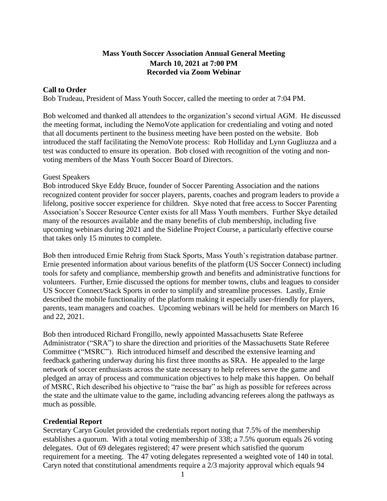## **Mass Youth Soccer Association Annual General Meeting March 10, 2021 at 7:00 PM Recorded via Zoom Webinar**

## **Call to Order**

Bob Trudeau, President of Mass Youth Soccer, called the meeting to order at 7:04 PM.

Bob welcomed and thanked all attendees to the organization's second virtual AGM. He discussed the meeting format, including the NemoVote application for credentialing and voting and noted that all documents pertinent to the business meeting have been posted on the website. Bob introduced the staff facilitating the NemoVote process: Rob Holliday and Lynn Gugliuzza and a test was conducted to ensure its operation. Bob closed with recognition of the voting and nonvoting members of the Mass Youth Soccer Board of Directors.

## Guest Speakers

Bob introduced Skye Eddy Bruce, founder of Soccer Parenting Association and the nations recognized content provider for soccer players, parents, coaches and program leaders to provide a lifelong, positive soccer experience for children. Skye noted that free access to Soccer Parenting Association's Soccer Resource Center exists for all Mass Youth members. Further Skye detailed many of the resources available and the many benefits of club membership, including five upcoming webinars during 2021 and the Sideline Project Course, a particularly effective course that takes only 15 minutes to complete.

Bob then introduced Ernie Rehrig from Stack Sports, Mass Youth's registration database partner. Ernie presented information about various benefits of the platform (US Soccer Connect) including tools for safety and compliance, membership growth and benefits and administrative functions for volunteers. Further, Ernie discussed the options for member towns, clubs and leagues to consider US Soccer Connect/Stack Sports in order to simplify and streamline processes. Lastly, Ernie described the mobile functionality of the platform making it especially user-friendly for players, parents, team managers and coaches. Upcoming webinars will be held for members on March 16 and 22, 2021.

Bob then introduced Richard Frongillo, newly appointed Massachusetts State Referee Administrator ("SRA") to share the direction and priorities of the Massachusetts State Referee Committee ("MSRC"). Rich introduced himself and described the extensive learning and feedback gathering underway during his first three months as SRA. He appealed to the large network of soccer enthusiasts across the state necessary to help referees serve the game and pledged an array of process and communication objectives to help make this happen. On behalf of MSRC, Rich described his objective to "raise the bar" as high as possible for referees across the state and the ultimate value to the game, including advancing referees along the pathways as much as possible.

## **Credential Report**

Secretary Caryn Goulet provided the credentials report noting that 7.5% of the membership establishes a quorum. With a total voting membership of 338; a 7.5% quorum equals 26 voting delegates. Out of 69 delegates registered; 47 were present which satisfied the quorum requirement for a meeting. The 47 voting delegates represented a weighted vote of 140 in total. Caryn noted that constitutional amendments require a 2/3 majority approval which equals 94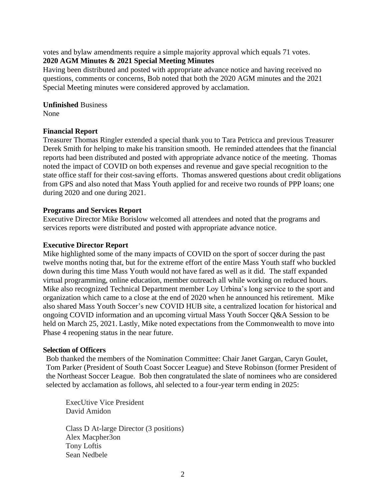votes and bylaw amendments require a simple majority approval which equals 71 votes. **2020 AGM Minutes & 2021 Special Meeting Minutes**

Having been distributed and posted with appropriate advance notice and having received no questions, comments or concerns, Bob noted that both the 2020 AGM minutes and the 2021 Special Meeting minutes were considered approved by acclamation.

**Unfinished** Business None

#### **Financial Report**

Treasurer Thomas Ringler extended a special thank you to Tara Petricca and previous Treasurer Derek Smith for helping to make his transition smooth. He reminded attendees that the financial reports had been distributed and posted with appropriate advance notice of the meeting. Thomas noted the impact of COVID on both expenses and revenue and gave special recognition to the state office staff for their cost-saving efforts. Thomas answered questions about credit obligations from GPS and also noted that Mass Youth applied for and receive two rounds of PPP loans; one during 2020 and one during 2021.

#### **Programs and Services Report**

Executive Director Mike Borislow welcomed all attendees and noted that the programs and services reports were distributed and posted with appropriate advance notice.

#### **Executive Director Report**

Mike highlighted some of the many impacts of COVID on the sport of soccer during the past twelve months noting that, but for the extreme effort of the entire Mass Youth staff who buckled down during this time Mass Youth would not have fared as well as it did. The staff expanded virtual programming, online education, member outreach all while working on reduced hours. Mike also recognized Technical Department member Loy Urbina's long service to the sport and organization which came to a close at the end of 2020 when he announced his retirement. Mike also shared Mass Youth Soccer's new COVID HUB site, a centralized location for historical and ongoing COVID information and an upcoming virtual Mass Youth Soccer Q&A Session to be held on March 25, 2021. Lastly, Mike noted expectations from the Commonwealth to move into Phase 4 reopening status in the near future.

#### **Selection of Officers**

Bob thanked the members of the Nomination Committee: Chair Janet Gargan, Caryn Goulet, Tom Parker (President of South Coast Soccer League) and Steve Robinson (former President of the Northeast Soccer League. Bob then congratulated the slate of nominees who are considered selected by acclamation as follows, ahl selected to a four-year term ending in 2025:

ExecUtive Vice President David Amidon

Class D At-large Director (3 positions) Alex Macpher3on Tony Loftis Sean Nedbele